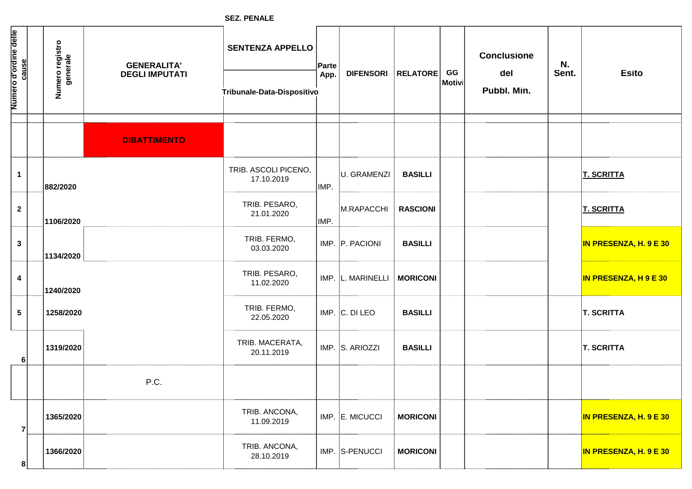**SEZ. PENALE**

| Numero d'ordine delle   | cause          | Numero registro<br>generale | <b>GENERALITA'</b><br><b>DEGLI IMPUTATI</b> | <b>SENTENZA APPELLO</b><br>Tribunale-Data-Dispositivo | Parte<br>App. | <b>DIFENSORI</b>             | <b>RELATORE</b> | GG<br> Motivi | <b>Conclusione</b><br>del<br>Pubbl. Min. | N.<br>Sent. | <b>Esito</b>                  |
|-------------------------|----------------|-----------------------------|---------------------------------------------|-------------------------------------------------------|---------------|------------------------------|-----------------|---------------|------------------------------------------|-------------|-------------------------------|
|                         |                |                             |                                             |                                                       |               |                              |                 |               |                                          |             |                               |
|                         |                |                             | <b>DIBATTIMENTO</b>                         |                                                       |               |                              |                 |               |                                          |             |                               |
| $\mathbf 1$             |                | 882/2020                    |                                             | TRIB. ASCOLI PICENO,<br>17.10.2019                    | IMP.          | U. GRAMENZI                  | <b>BASILLI</b>  |               |                                          |             | <b>T. SCRITTA</b>             |
| $\mathbf{2}$            |                | 1106/2020                   |                                             | TRIB. PESARO,<br>21.01.2020                           | IMP.          | M.RAPACCHI                   | <b>RASCIONI</b> |               |                                          |             | <b>T. SCRITTA</b>             |
| $\mathbf{3}$            |                | 1134/2020                   |                                             | TRIB. FERMO,<br>03.03.2020                            |               | IMP. P. PACIONI              | <b>BASILLI</b>  |               |                                          |             | IN PRESENZA, H. 9 E 30        |
| $\overline{\mathbf{4}}$ |                | 1240/2020                   |                                             | TRIB. PESARO,<br>11.02.2020                           |               | IMP. L. MARINELLI   MORICONI |                 |               |                                          |             | <b>IN PRESENZA, H 9 E 30</b>  |
| $5\phantom{.0}$         |                | 1258/2020                   |                                             | TRIB. FERMO,<br>22.05.2020                            |               | $IMP.$ $C.$ DI LEO           | <b>BASILLI</b>  |               |                                          |             | <b>T. SCRITTA</b>             |
|                         | 6 <sup>1</sup> | 1319/2020                   |                                             | TRIB. MACERATA,<br>20.11.2019                         |               | IMP. S. ARIOZZI              | <b>BASILLI</b>  |               |                                          |             | <b>T. SCRITTA</b>             |
|                         |                |                             | P.C.                                        |                                                       |               |                              |                 |               |                                          |             |                               |
|                         |                | 1365/2020                   |                                             | TRIB. ANCONA,<br>11.09.2019                           |               | IMP. E. MICUCCI              | <b>MORICONI</b> |               |                                          |             | IN PRESENZA, H. 9 E 30        |
|                         | 8              | 1366/2020                   |                                             | TRIB. ANCONA,<br>28.10.2019                           |               | IMP. S-PENUCCI               | <b>MORICONI</b> |               |                                          |             | <b>IN PRESENZA, H. 9 E 30</b> |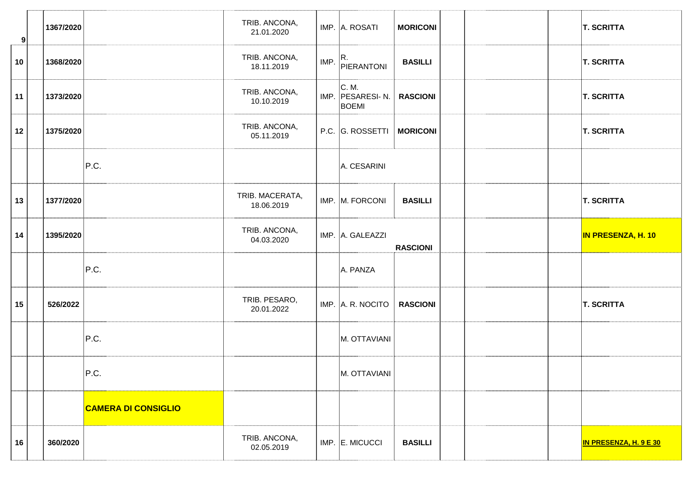| $\mathbf{9}$ | 1367/2020 |                            | TRIB. ANCONA,<br>21.01.2020   |      | IMP. A. ROSATI                             | <b>MORICONI</b> |  | <b>T. SCRITTA</b>         |
|--------------|-----------|----------------------------|-------------------------------|------|--------------------------------------------|-----------------|--|---------------------------|
| 10           | 1368/2020 |                            | TRIB. ANCONA,<br>18.11.2019   | IMP. | R.<br>PIERANTONI                           | <b>BASILLI</b>  |  | <b>T. SCRITTA</b>         |
| 11           | 1373/2020 |                            | TRIB. ANCONA,<br>10.10.2019   |      | C. M.<br>IMP. PESARESI- N.<br><b>BOEMI</b> | <b>RASCIONI</b> |  | <b>T. SCRITTA</b>         |
| 12           | 1375/2020 |                            | TRIB. ANCONA,<br>05.11.2019   |      | P.C. G. ROSSETTI                           | <b>MORICONI</b> |  | <b>T. SCRITTA</b>         |
|              |           | P.C.                       |                               |      | A. CESARINI                                |                 |  |                           |
| 13           | 1377/2020 |                            | TRIB. MACERATA,<br>18.06.2019 |      | IMP. M. FORCONI                            | <b>BASILLI</b>  |  | <b>T. SCRITTA</b>         |
| 14           | 1395/2020 |                            | TRIB. ANCONA,<br>04.03.2020   |      | IMP. A. GALEAZZI                           | <b>RASCIONI</b> |  | <b>IN PRESENZA, H. 10</b> |
|              |           | P.C.                       |                               |      | A. PANZA                                   |                 |  |                           |
| 15           | 526/2022  |                            | TRIB. PESARO,<br>20.01.2022   |      | IMP. A. R. NOCITO                          | <b>RASCIONI</b> |  | <b>T. SCRITTA</b>         |
|              |           | P.C.                       |                               |      | M. OTTAVIANI                               |                 |  |                           |
|              |           | P.C.                       |                               |      | M. OTTAVIANI                               |                 |  |                           |
|              |           | <b>CAMERA DI CONSIGLIO</b> |                               |      |                                            |                 |  |                           |
| 16           | 360/2020  |                            | TRIB. ANCONA,<br>02.05.2019   |      | $IMP.$ E. MICUCCI                          | <b>BASILLI</b>  |  | IN PRESENZA, H. 9 E 30    |